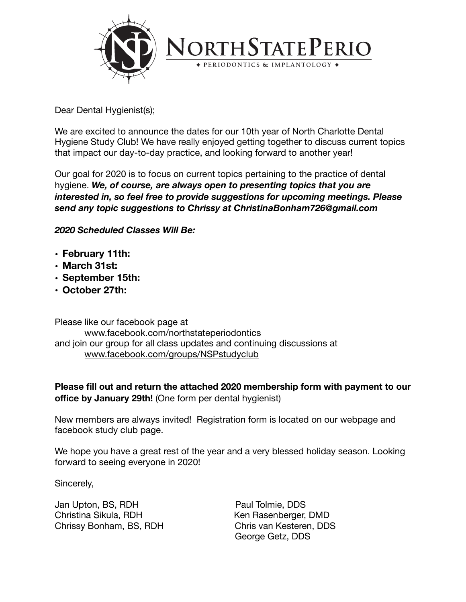

Dear Dental Hygienist(s);

We are excited to announce the dates for our 10th year of North Charlotte Dental Hygiene Study Club! We have really enjoyed getting together to discuss current topics that impact our day-to-day practice, and looking forward to another year!

Our goal for 2020 is to focus on current topics pertaining to the practice of dental hygiene. *We, of course, are always open to presenting topics that you are interested in, so feel free to provide suggestions for upcoming meetings. Please send any topic suggestions to Chrissy at ChristinaBonham726@gmail.com* 

*2020 Scheduled Classes Will Be:* 

- **• February 11th:**
- **• March 31st:**
- **• September 15th:**
- **• October 27th:**

Please like our facebook page at [www.facebook.com/northstateperiodontics](http://www.facebook.com/northstateperiodontics) and join our group for all class updates and continuing discussions at [www.facebook.com/groups/NSPstudyc](http://www.facebook.com/groups/NSPstudy)lub

**Please fill out and return the attached 2020 membership form with payment to our office by January 29th!** (One form per dental hygienist)

New members are always invited! Registration form is located on our webpage and facebook study club page.

We hope you have a great rest of the year and a very blessed holiday season. Looking forward to seeing everyone in 2020!

Sincerely,

Jan Upton, BS, RDH Paul Tolmie, DDS Christina Sikula, RDH Ken Rasenberger, DMD Chrissy Bonham, BS, RDH Chris van Kesteren, DDS

George Getz, DDS